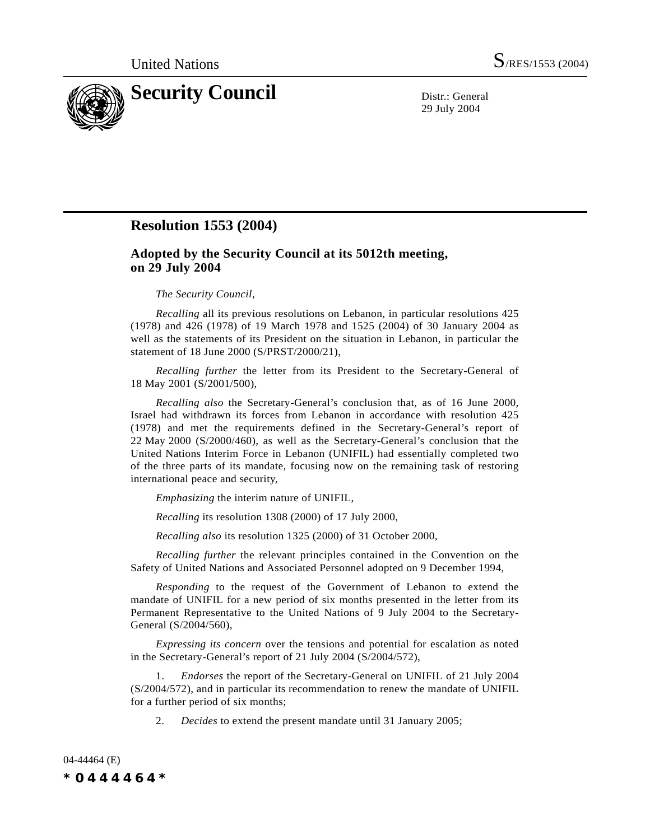

29 July 2004

## **Resolution 1553 (2004)**

## **Adopted by the Security Council at its 5012th meeting, on 29 July 2004**

## *The Security Council*,

*Recalling* all its previous resolutions on Lebanon, in particular resolutions 425 (1978) and 426 (1978) of 19 March 1978 and 1525 (2004) of 30 January 2004 as well as the statements of its President on the situation in Lebanon, in particular the statement of 18 June 2000 (S/PRST/2000/21),

*Recalling further* the letter from its President to the Secretary-General of 18 May 2001 (S/2001/500),

*Recalling also* the Secretary-General's conclusion that, as of 16 June 2000, Israel had withdrawn its forces from Lebanon in accordance with resolution 425 (1978) and met the requirements defined in the Secretary-General's report of 22 May 2000 (S/2000/460), as well as the Secretary-General's conclusion that the United Nations Interim Force in Lebanon (UNIFIL) had essentially completed two of the three parts of its mandate, focusing now on the remaining task of restoring international peace and security,

*Emphasizing* the interim nature of UNIFIL,

*Recalling* its resolution 1308 (2000) of 17 July 2000,

*Recalling also* its resolution 1325 (2000) of 31 October 2000,

*Recalling further* the relevant principles contained in the Convention on the Safety of United Nations and Associated Personnel adopted on 9 December 1994,

*Responding* to the request of the Government of Lebanon to extend the mandate of UNIFIL for a new period of six months presented in the letter from its Permanent Representative to the United Nations of 9 July 2004 to the Secretary-General (S/2004/560),

*Expressing its concern* over the tensions and potential for escalation as noted in the Secretary-General's report of 21 July 2004 (S/2004/572),

1. *Endorses* the report of the Secretary-General on UNIFIL of 21 July 2004 (S/2004/572), and in particular its recommendation to renew the mandate of UNIFIL for a further period of six months;

2. *Decides* to extend the present mandate until 31 January 2005;